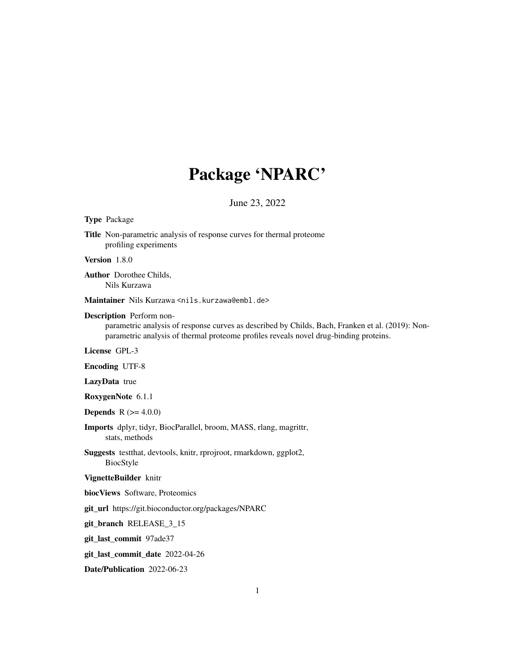# Package 'NPARC'

# June 23, 2022

#### Type Package

Title Non-parametric analysis of response curves for thermal proteome profiling experiments

# Version 1.8.0

Author Dorothee Childs, Nils Kurzawa

Maintainer Nils Kurzawa <nils.kurzawa@embl.de>

## Description Perform non-

parametric analysis of response curves as described by Childs, Bach, Franken et al. (2019): Nonparametric analysis of thermal proteome profiles reveals novel drug-binding proteins.

License GPL-3

Encoding UTF-8

LazyData true

RoxygenNote 6.1.1

**Depends**  $R (= 4.0.0)$ 

Imports dplyr, tidyr, BiocParallel, broom, MASS, rlang, magrittr, stats, methods

Suggests testthat, devtools, knitr, rprojroot, rmarkdown, ggplot2, BiocStyle

# VignetteBuilder knitr

biocViews Software, Proteomics

git\_url https://git.bioconductor.org/packages/NPARC

git\_branch RELEASE\_3\_15

git\_last\_commit 97ade37

git\_last\_commit\_date 2022-04-26

Date/Publication 2022-06-23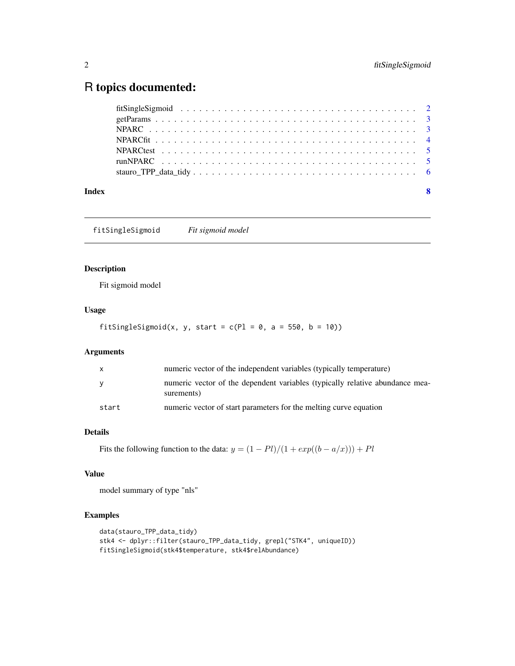# <span id="page-1-0"></span>R topics documented:

| Index | $\overline{\mathbf{8}}$ |  |
|-------|-------------------------|--|

fitSingleSigmoid *Fit sigmoid model*

# Description

Fit sigmoid model

# Usage

fitSingleSigmoid(x, y, start =  $c(Pl = 0, a = 550, b = 10)$ )

# Arguments

| $\mathsf{x}$ | numeric vector of the independent variables (typically temperature)                        |
|--------------|--------------------------------------------------------------------------------------------|
| <b>V</b>     | numeric vector of the dependent variables (typically relative abundance mea-<br>surements) |
| start        | numeric vector of start parameters for the melting curve equation                          |

# Details

Fits the following function to the data:  $y = (1 - Pl)/(1 + exp((b - a/x))) + Pl$ 

# Value

model summary of type "nls"

# Examples

```
data(stauro_TPP_data_tidy)
stk4 <- dplyr::filter(stauro_TPP_data_tidy, grepl("STK4", uniqueID))
fitSingleSigmoid(stk4$temperature, stk4$relAbundance)
```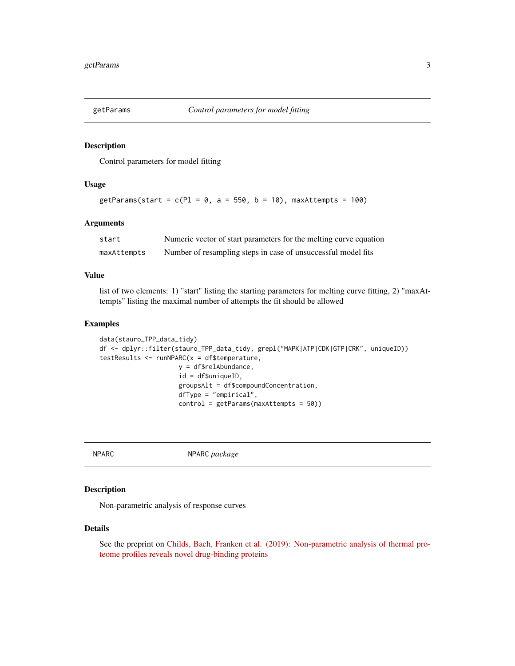<span id="page-2-0"></span>

#### Description

Control parameters for model fitting

# Usage

getParams(start =  $c(Pl = 0, a = 550, b = 10)$ , maxAttempts = 100)

# Arguments

| start       | Numeric vector of start parameters for the melting curve equation |
|-------------|-------------------------------------------------------------------|
| maxAttempts | Number of resampling steps in case of unsuccessful model fits     |

#### Value

list of two elements: 1) "start" listing the starting parameters for melting curve fitting, 2) "maxAttempts" listing the maximal number of attempts the fit should be allowed

# Examples

```
data(stauro_TPP_data_tidy)
df <- dplyr::filter(stauro_TPP_data_tidy, grepl("MAPK|ATP|CDK|GTP|CRK", uniqueID))
testResults <- runNPARC(x = df$temperature,
                     y = df$relAbundance,
                     id = df$uniqueID,
                     groupsAlt = df$compoundConcentration,
                     dfType = "empirical",
                     control = getParams(maxAttempts = 50))
```
NPARC NPARC *package*

# Description

Non-parametric analysis of response curves

#### Details

See the preprint on [Childs, Bach, Franken et al. \(2019\): Non-parametric analysis of thermal pro](https://www.biorxiv.org/content/10.1101/373845v2)[teome profiles reveals novel drug-binding proteins](https://www.biorxiv.org/content/10.1101/373845v2)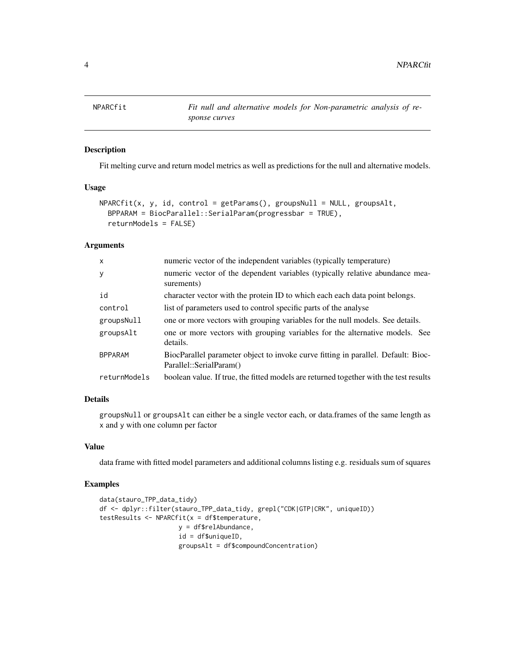<span id="page-3-0"></span>

# Description

Fit melting curve and return model metrics as well as predictions for the null and alternative models.

### Usage

```
NPARCfit(x, y, id, control = getParams(), groupsNull = NULL, groupsAlt,
 BPPARAM = BiocParallel::SerialParam(progressbar = TRUE),
  returnModels = FALSE)
```
# Arguments

| $\mathsf{x}$   | numeric vector of the independent variables (typically temperature)                                          |
|----------------|--------------------------------------------------------------------------------------------------------------|
| У              | numeric vector of the dependent variables (typically relative abundance mea-<br>surements)                   |
| id             | character vector with the protein ID to which each each data point belongs.                                  |
| control        | list of parameters used to control specific parts of the analyse                                             |
| groupsNull     | one or more vectors with grouping variables for the null models. See details.                                |
| groupsAlt      | one or more vectors with grouping variables for the alternative models. See<br>details.                      |
| <b>BPPARAM</b> | BiocParallel parameter object to invoke curve fitting in parallel. Default: Bioc-<br>Parallel::SerialParam() |
| returnModels   | boolean value. If true, the fitted models are returned together with the test results                        |

# Details

groupsNull or groupsAlt can either be a single vector each, or data.frames of the same length as x and y with one column per factor

# Value

data frame with fitted model parameters and additional columns listing e.g. residuals sum of squares

# Examples

```
data(stauro_TPP_data_tidy)
df <- dplyr::filter(stauro_TPP_data_tidy, grepl("CDK|GTP|CRK", uniqueID))
testResults <- NPARCfit(x = df$temperature,
                     y = df$relAbundance,
                     id = df$uniqueID,
                     groupsAlt = df$compoundConcentration)
```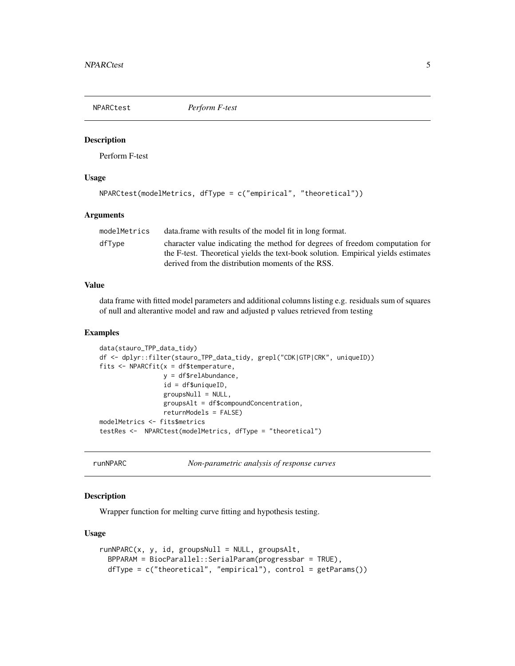<span id="page-4-0"></span>NPARCtest *Perform F-test*

#### Description

Perform F-test

# Usage

```
NPARCtest(modelMetrics, dfType = c("empirical", "theoretical"))
```
# Arguments

| modelMetrics | data. frame with results of the model fit in long format.                         |
|--------------|-----------------------------------------------------------------------------------|
| dfTvpe       | character value indicating the method for degrees of freedom computation for      |
|              | the F-test. Theoretical yields the text-book solution. Empirical yields estimates |
|              | derived from the distribution moments of the RSS.                                 |

# Value

data frame with fitted model parameters and additional columns listing e.g. residuals sum of squares of null and alterantive model and raw and adjusted p values retrieved from testing

# Examples

```
data(stauro_TPP_data_tidy)
df <- dplyr::filter(stauro_TPP_data_tidy, grepl("CDK|GTP|CRK", uniqueID))
fits \leq NPARCfit(x = df$temperature,
                 y = df$relAbundance,
                 id = df$uniqueID,
                 groupsNull = NULL,
                 groupsAlt = df$compoundConcentration,
                 returnModels = FALSE)
modelMetrics <- fits$metrics
testRes <- NPARCtest(modelMetrics, dfType = "theoretical")
```
runNPARC *Non-parametric analysis of response curves*

#### Description

Wrapper function for melting curve fitting and hypothesis testing.

### Usage

```
runNPARC(x, y, id, groupSNull = NULL, groupSAlt,BPPARAM = BiocParallel::SerialParam(progressbar = TRUE),
 dfType = c("theoretical", "empirical"), control = getParams())
```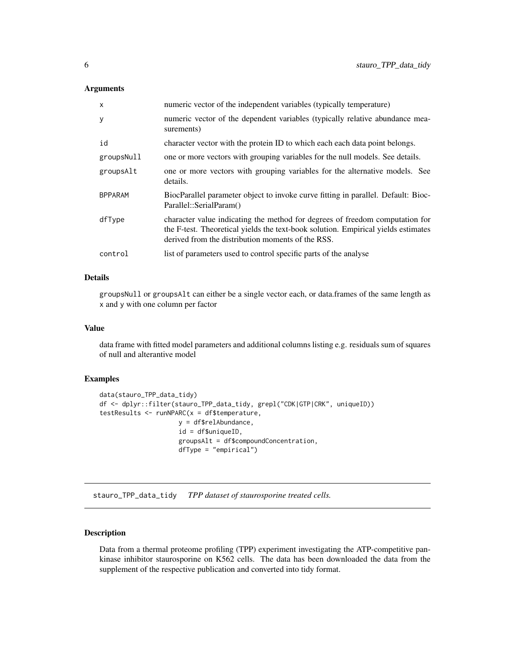# <span id="page-5-0"></span>Arguments

| x              | numeric vector of the independent variables (typically temperature)                                                                                                                                                    |
|----------------|------------------------------------------------------------------------------------------------------------------------------------------------------------------------------------------------------------------------|
| у              | numeric vector of the dependent variables (typically relative abundance mea-<br>surements)                                                                                                                             |
| id             | character vector with the protein ID to which each each data point belongs.                                                                                                                                            |
| groupsNull     | one or more vectors with grouping variables for the null models. See details.                                                                                                                                          |
| groupsAlt      | one or more vectors with grouping variables for the alternative models. See<br>details.                                                                                                                                |
| <b>BPPARAM</b> | BiocParallel parameter object to invoke curve fitting in parallel. Default: Bioc-<br>Parallel::SerialParam()                                                                                                           |
| dfType         | character value indicating the method for degrees of freedom computation for<br>the F-test. Theoretical yields the text-book solution. Empirical yields estimates<br>derived from the distribution moments of the RSS. |
| control        | list of parameters used to control specific parts of the analyse                                                                                                                                                       |

# Details

groupsNull or groupsAlt can either be a single vector each, or data.frames of the same length as x and y with one column per factor

# Value

data frame with fitted model parameters and additional columns listing e.g. residuals sum of squares of null and alterantive model

# Examples

```
data(stauro_TPP_data_tidy)
df <- dplyr::filter(stauro_TPP_data_tidy, grepl("CDK|GTP|CRK", uniqueID))
testResults \leq runNPARC(x = df$ temperature,
                     y = df$relAbundance,
                     id = df$uniqueID,
                     groupsAlt = df$compoundConcentration,
                     dfType = "empirical")
```
stauro\_TPP\_data\_tidy *TPP dataset of staurosporine treated cells.*

### Description

Data from a thermal proteome profiling (TPP) experiment investigating the ATP-competitive pankinase inhibitor staurosporine on K562 cells. The data has been downloaded the data from the supplement of the respective publication and converted into tidy format.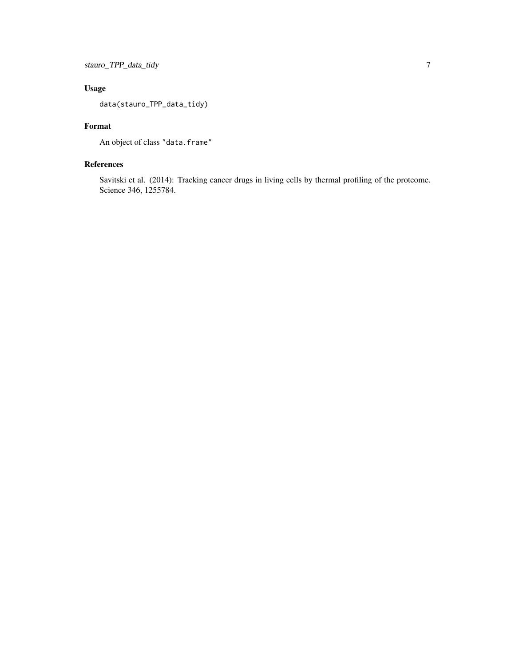# Usage

data(stauro\_TPP\_data\_tidy)

# Format

An object of class "data.frame"

# References

Savitski et al. (2014): Tracking cancer drugs in living cells by thermal profiling of the proteome. Science 346, 1255784.